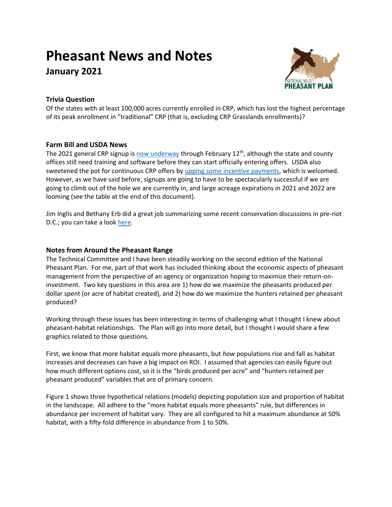# **Pheasant News and Notes**

**January 2021**



# **Trivia Question**

Of the states with at least 100,000 acres currently enrolled in CRP, which has lost the highest percentage of its peak enrollment in "traditional" CRP (that is, excluding CRP Grasslands enrollments)?

# **Farm Bill and USDA News**

The 2021 general CRP signup is [now underway](https://www.fsa.usda.gov/news-room/news-releases/2021/conservation-reserve-program-general-signup-begins-today-and-ends-february-12) through February 12<sup>th</sup>, although the state and county offices still need training and software before they can start officially entering offers. USDA also sweetened the pot for continuous CRP offers b[y upping some incentive payments,](https://www.agriculture.com/news/business/usda-increases-incentive-payments-for-some-crp-land) which is welcomed. However, as we have said before, signups are going to have to be spectacularly successful if we are going to climb out of the hole we are currently in, and large acreage expirations in 2021 and 2022 are looming (see the table at the end of this document).

Jim Inglis and Bethany Erb did a great job summarizing some recent conservation discussions in pre-riot D.C.; you can take a look [here.](https://www.youtube.com/watch?v=XSBFIb-cP3U&feature=youtu.be)

## **Notes from Around the Pheasant Range**

The Technical Committee and I have been steadily working on the second edition of the National Pheasant Plan. For me, part of that work has included thinking about the economic aspects of pheasant management from the perspective of an agency or organization hoping to maximize their return-oninvestment. Two key questions in this area are 1) how do we maximize the pheasants produced per dollar spent (or acre of habitat created), and 2) how do we maximize the hunters retained per pheasant produced?

Working through these issues has been interesting in terms of challenging what I thought I knew about pheasant-habitat relationships. The Plan will go into more detail, but I thought I would share a few graphics related to those questions.

First, we know that more habitat equals more pheasants, but *how* populations rise and fall as habitat increases and decreases can have a big impact on ROI. I assumed that agencies can easily figure out how much different options cost, so it is the "birds produced per acre" and "hunters retained per pheasant produced" variables that are of primary concern.

Figure 1 shows three hypothetical relations (models) depicting population size and proportion of habitat in the landscape. All adhere to the "more habitat equals more pheasants" rule, but differences in abundance per increment of habitat vary. They are all configured to hit a maximum abundance at 50% habitat, with a fifty-fold difference in abundance from 1 to 50%.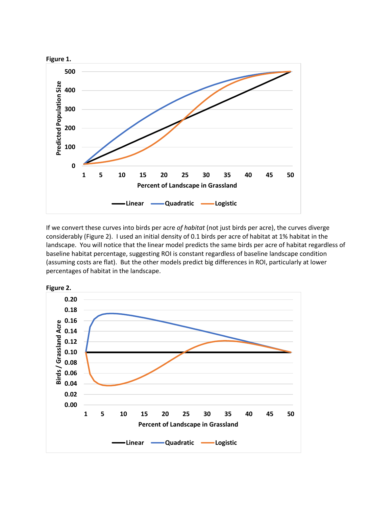

If we convert these curves into birds per acre *of habitat* (not just birds per acre), the curves diverge considerably (Figure 2). I used an initial density of 0.1 birds per acre of habitat at 1% habitat in the landscape. You will notice that the linear model predicts the same birds per acre of habitat regardless of baseline habitat percentage, suggesting ROI is constant regardless of baseline landscape condition (assuming costs are flat). But the other models predict big differences in ROI, particularly at lower percentages of habitat in the landscape.

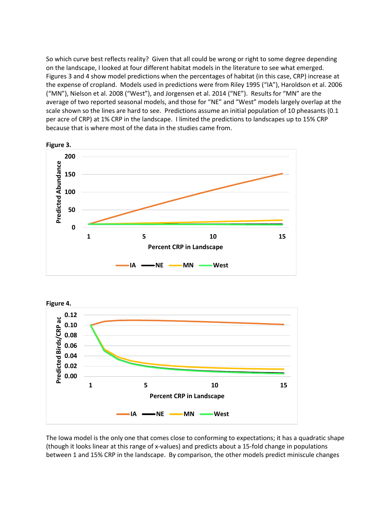So which curve best reflects reality? Given that all could be wrong or right to some degree depending on the landscape, I looked at four different habitat models in the literature to see what emerged. Figures 3 and 4 show model predictions when the percentages of habitat (in this case, CRP) increase at the expense of cropland. Models used in predictions were from Riley 1995 ("IA"), Haroldson et al. 2006 ("MN"), Nielson et al. 2008 ("West"), and Jorgensen et al. 2014 ("NE"). Results for "MN" are the average of two reported seasonal models, and those for "NE" and "West" models largely overlap at the scale shown so the lines are hard to see. Predictions assume an initial population of 10 pheasants (0.1 per acre of CRP) at 1% CRP in the landscape. I limited the predictions to landscapes up to 15% CRP because that is where most of the data in the studies came from.





The Iowa model is the only one that comes close to conforming to expectations; it has a quadratic shape (though it looks linear at this range of x-values) and predicts about a 15-fold change in populations between 1 and 15% CRP in the landscape. By comparison, the other models predict miniscule changes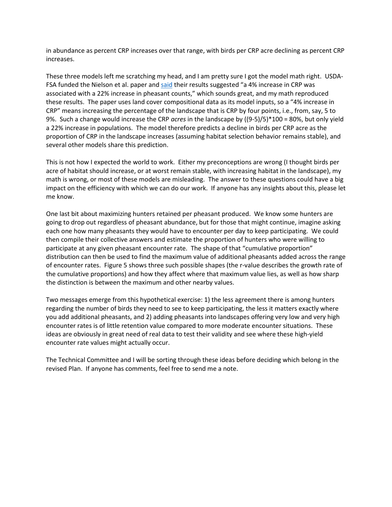in abundance as percent CRP increases over that range, with birds per CRP acre declining as percent CRP increases.

These three models left me scratching my head, and I am pretty sure I got the model math right. USDA-FSA funded the Nielson et al. paper an[d said](https://www.fsa.usda.gov/Assets/USDA-FSA-Public/usdafiles/EPAS/natural-resouces-analysis/nra-landing-index/2017-files/Environmental_Benefits_of_the_US_CRP_2017_draft.pdf) their results suggested "a 4% increase in CRP was associated with a 22% increase in pheasant counts," which sounds great, and my math reproduced these results. The paper uses land cover compositional data as its model inputs, so a "4% increase in CRP" means increasing the percentage of the landscape that is CRP by four points, i.e., from, say, 5 to 9%. Such a change would increase the CRP *acres* in the landscape by ((9-5)/5)\*100 = 80%, but only yield a 22% increase in populations. The model therefore predicts a decline in birds per CRP acre as the proportion of CRP in the landscape increases (assuming habitat selection behavior remains stable), and several other models share this prediction.

This is not how I expected the world to work. Either my preconceptions are wrong (I thought birds per acre of habitat should increase, or at worst remain stable, with increasing habitat in the landscape), my math is wrong, or most of these models are misleading. The answer to these questions could have a big impact on the efficiency with which we can do our work. If anyone has any insights about this, please let me know.

One last bit about maximizing hunters retained per pheasant produced. We know some hunters are going to drop out regardless of pheasant abundance, but for those that might continue, imagine asking each one how many pheasants they would have to encounter per day to keep participating. We could then compile their collective answers and estimate the proportion of hunters who were willing to participate at any given pheasant encounter rate. The shape of that "cumulative proportion" distribution can then be used to find the maximum value of additional pheasants added across the range of encounter rates. Figure 5 shows three such possible shapes (the r-value describes the growth rate of the cumulative proportions) and how they affect where that maximum value lies, as well as how sharp the distinction is between the maximum and other nearby values.

Two messages emerge from this hypothetical exercise: 1) the less agreement there is among hunters regarding the number of birds they need to see to keep participating, the less it matters exactly where you add additional pheasants, and 2) adding pheasants into landscapes offering very low and very high encounter rates is of little retention value compared to more moderate encounter situations. These ideas are obviously in great need of real data to test their validity and see where these high-yield encounter rate values might actually occur.

The Technical Committee and I will be sorting through these ideas before deciding which belong in the revised Plan. If anyone has comments, feel free to send me a note.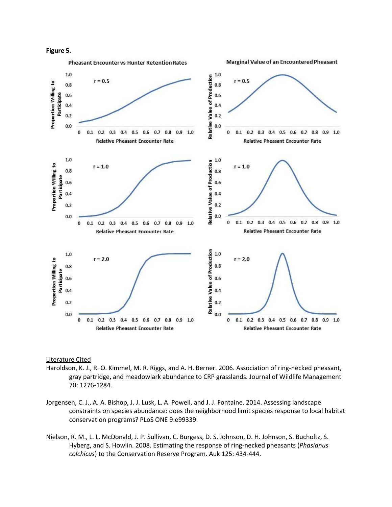



#### Literature Cited

- Haroldson, K. J., R. O. Kimmel, M. R. Riggs, and A. H. Berner. 2006. Association of ring-necked pheasant, gray partridge, and meadowlark abundance to CRP grasslands. Journal of Wildlife Management 70: 1276-1284.
- Jorgensen, C. J., A. A. Bishop, J. J. Lusk, L. A. Powell, and J. J. Fontaine. 2014. Assessing landscape constraints on species abundance: does the neighborhood limit species response to local habitat conservation programs? PLoS ONE 9:e99339.
- Nielson, R. M., L. L. McDonald, J. P. Sullivan, C. Burgess, D. S. Johnson, D. H. Johnson, S. Bucholtz, S. Hyberg, and S. Howlin. 2008. Estimating the response of ring-necked pheasants (*Phasianus colchicus*) to the Conservation Reserve Program. Auk 125: 434-444.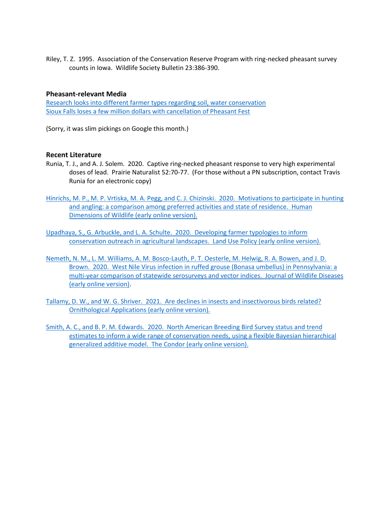Riley, T. Z. 1995. Association of the Conservation Reserve Program with ring-necked pheasant survey counts in Iowa. Wildlife Society Bulletin 23:386-390.

## **Pheasant-relevant Media**

[Research looks into different farmer types regarding soil, water conservation](https://www.aberdeennews.com/farm_forum/research-looks-into-different-farmer-types-regarding-soil-water-conservation/article_ababcfc4-3c09-11eb-9ecc-7b5bbd869561.html) [Sioux Falls loses a few million dollars with cancellation of Pheasant Fest](https://www.keloland.com/keloland-com-original/sioux-falls-loses-a-few-million-with-cancelation-of-pheasant-festival/)

(Sorry, it was slim pickings on Google this month.)

## **Recent Literature**

- Runia, T. J., and A. J. Solem. 2020. Captive ring-necked pheasant response to very high experimental doses of lead. Prairie Naturalist 52:70-77. (For those without a PN subscription, contact Travis Runia for an electronic copy)
- [Hinrichs, M. P., M. P. Vrtiska, M. A. Pegg, and C. J. Chizinski. 2020. Motivations to participate in hunting](https://doi.org/10.1080/10871209.2020.1858208)  [and angling: a comparison among preferred activities and state of residence. Human](https://doi.org/10.1080/10871209.2020.1858208)  [Dimensions of Wildlife](https://doi.org/10.1080/10871209.2020.1858208) (early online version).
- [Upadhaya, S., G. Arbuckle, and L. A. Schulte. 2020. Developing farmer typologies to inform](https://www.sciencedirect.com/science/article/pii/S0264837720324959)  [conservation outreach in agricultural landscapes. Land Use Policy \(early online version\).](https://www.sciencedirect.com/science/article/pii/S0264837720324959)
- [Nemeth, N. M., L. M. Williams, A. M. Bosco-Lauth, P. T. Oesterle, M. Helwig, R. A. Bowen, and J. D.](https://doi.org/10.7589/JWD-D-19-00016)  [Brown. 2020. West Nile Virus infection in ruffed grouse \(Bonasa umbellus\) in Pennsylvania: a](https://doi.org/10.7589/JWD-D-19-00016)  [multi-year comparison of statewide serosurveys and vector indices. Journal of Wildlife Diseases](https://doi.org/10.7589/JWD-D-19-00016)  [\(early online version\).](https://doi.org/10.7589/JWD-D-19-00016)
- [Tallamy, D. W., and W. G. Shriver. 2021. Are declines in insects and insectivorous birds related?](https://doi.org/10.1093/ornithapp/duaa059)  [Ornithological Applications](https://doi.org/10.1093/ornithapp/duaa059) (early online version).
- [Smith, A. C., and B. P. M. Edwards. 2020. North American Breeding Bird Survey status and trend](https://doi.org/10.1093/ornithapp/duaa065)  [estimates to inform a wide range of conservation needs, using a flexible Bayesian hierarchical](https://doi.org/10.1093/ornithapp/duaa065)  [generalized additive model. The Condor \(early online version\).](https://doi.org/10.1093/ornithapp/duaa065)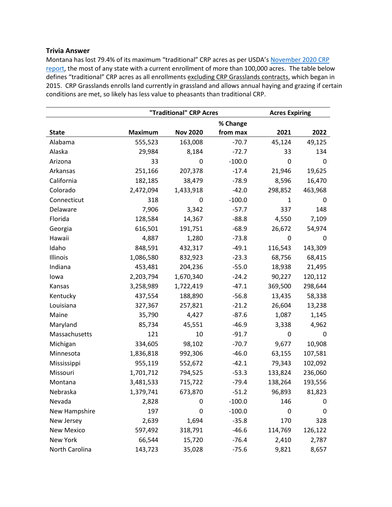## **Trivia Answer**

Montana has lost 79.4% of its maximum "traditional" CRP acres as per USDA's November 2020 CRP [report,](https://www.fsa.usda.gov/Assets/USDA-FSA-Public/usdafiles/Conservation/PDF/crp-summary-nov-2020.pdf) the most of any state with a current enrollment of more than 100,000 acres. The table below defines "traditional" CRP acres as all enrollments excluding CRP Grasslands contracts, which began in 2015. CRP Grasslands enrolls land currently in grassland and allows annual haying and grazing if certain conditions are met, so likely has less value to pheasants than traditional CRP.

|                   | "Traditional" CRP Acres |                 |          | <b>Acres Expiring</b> |         |
|-------------------|-------------------------|-----------------|----------|-----------------------|---------|
|                   |                         |                 | % Change |                       |         |
| <b>State</b>      | <b>Maximum</b>          | <b>Nov 2020</b> | from max | 2021                  | 2022    |
| Alabama           | 555,523                 | 163,008         | $-70.7$  | 45,124                | 49,125  |
| Alaska            | 29,984                  | 8,184           | $-72.7$  | 33                    | 134     |
| Arizona           | 33                      | 0               | $-100.0$ | 0                     | 0       |
| Arkansas          | 251,166                 | 207,378         | $-17.4$  | 21,946                | 19,625  |
| California        | 182,185                 | 38,479          | $-78.9$  | 8,596                 | 16,470  |
| Colorado          | 2,472,094               | 1,433,918       | $-42.0$  | 298,852               | 463,968 |
| Connecticut       | 318                     | 0               | $-100.0$ | $\mathbf{1}$          | 0       |
| Delaware          | 7,906                   | 3,342           | $-57.7$  | 337                   | 148     |
| Florida           | 128,584                 | 14,367          | $-88.8$  | 4,550                 | 7,109   |
| Georgia           | 616,501                 | 191,751         | $-68.9$  | 26,672                | 54,974  |
| Hawaii            | 4,887                   | 1,280           | $-73.8$  | 0                     | 0       |
| Idaho             | 848,591                 | 432,317         | $-49.1$  | 116,543               | 143,309 |
| Illinois          | 1,086,580               | 832,923         | $-23.3$  | 68,756                | 68,415  |
| Indiana           | 453,481                 | 204,236         | $-55.0$  | 18,938                | 21,495  |
| lowa              | 2,203,794               | 1,670,340       | $-24.2$  | 90,227                | 120,112 |
| Kansas            | 3,258,989               | 1,722,419       | $-47.1$  | 369,500               | 298,644 |
| Kentucky          | 437,554                 | 188,890         | $-56.8$  | 13,435                | 58,338  |
| Louisiana         | 327,367                 | 257,821         | $-21.2$  | 26,604                | 13,238  |
| Maine             | 35,790                  | 4,427           | $-87.6$  | 1,087                 | 1,145   |
| Maryland          | 85,734                  | 45,551          | $-46.9$  | 3,338                 | 4,962   |
| Massachusetts     | 121                     | 10              | $-91.7$  | 0                     | 0       |
| Michigan          | 334,605                 | 98,102          | $-70.7$  | 9,677                 | 10,908  |
| Minnesota         | 1,836,818               | 992,306         | $-46.0$  | 63,155                | 107,581 |
| Mississippi       | 955,119                 | 552,672         | $-42.1$  | 79,343                | 102,092 |
| Missouri          | 1,701,712               | 794,525         | $-53.3$  | 133,824               | 236,060 |
| Montana           | 3,481,533               | 715,722         | $-79.4$  | 138,264               | 193,556 |
| Nebraska          | 1,379,741               | 673,870         | $-51.2$  | 96,893                | 81,823  |
| Nevada            | 2,828                   | 0               | $-100.0$ | 146                   | 0       |
| New Hampshire     | 197                     | 0               | $-100.0$ | 0                     | 0       |
| New Jersey        | 2,639                   | 1,694           | $-35.8$  | 170                   | 328     |
| <b>New Mexico</b> | 597,492                 | 318,791         | $-46.6$  | 114,769               | 126,122 |
| New York          | 66,544                  | 15,720          | $-76.4$  | 2,410                 | 2,787   |
| North Carolina    | 143,723                 | 35,028          | $-75.6$  | 9,821                 | 8,657   |